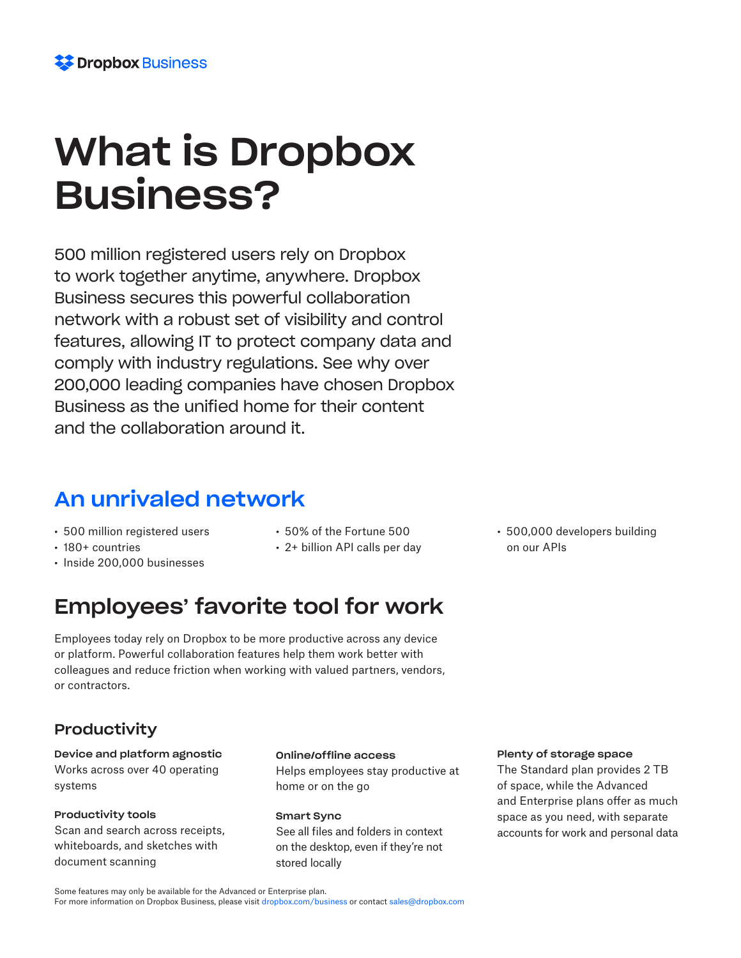# What is Dropbox Business?

500 million registered users rely on Dropbox to work together anytime, anywhere. Dropbox Business secures this powerful collaboration network with a robust set of visibility and control features, allowing IT to protect company data and comply with industry regulations. See why over 200,000 leading companies have chosen Dropbox Business as the unified home for their content and the collaboration around it.

# An unrivaled network

- 500 million registered users
- 180+ countries
- Inside 200,000 businesses
- 50% of the Fortune 500
- 2+ billion API calls per day

# Employees' favorite tool for work

Employees today rely on Dropbox to be more productive across any device or platform. Powerful collaboration features help them work better with colleagues and reduce friction when working with valued partners, vendors, or contractors.

# **Productivity**

Device and platform agnostic Works across over 40 operating systems

# Productivity tools

Scan and search across receipts, whiteboards, and sketches with document scanning

# Online/offline access

Helps employees stay productive at home or on the go

Smart Sync See all files and folders in context on the desktop, even if they're not stored locally

# Plenty of storage space

• 500,000 developers building

on our APIs

The Standard plan provides 2 TB of space, while the Advanced and Enterprise plans offer as much space as you need, with separate accounts for work and personal data

Some features may only be available for the Advanced or Enterprise plan.

For more information on Dropbox Business, please visit dropbox.com/business or contact sales@dropbox.com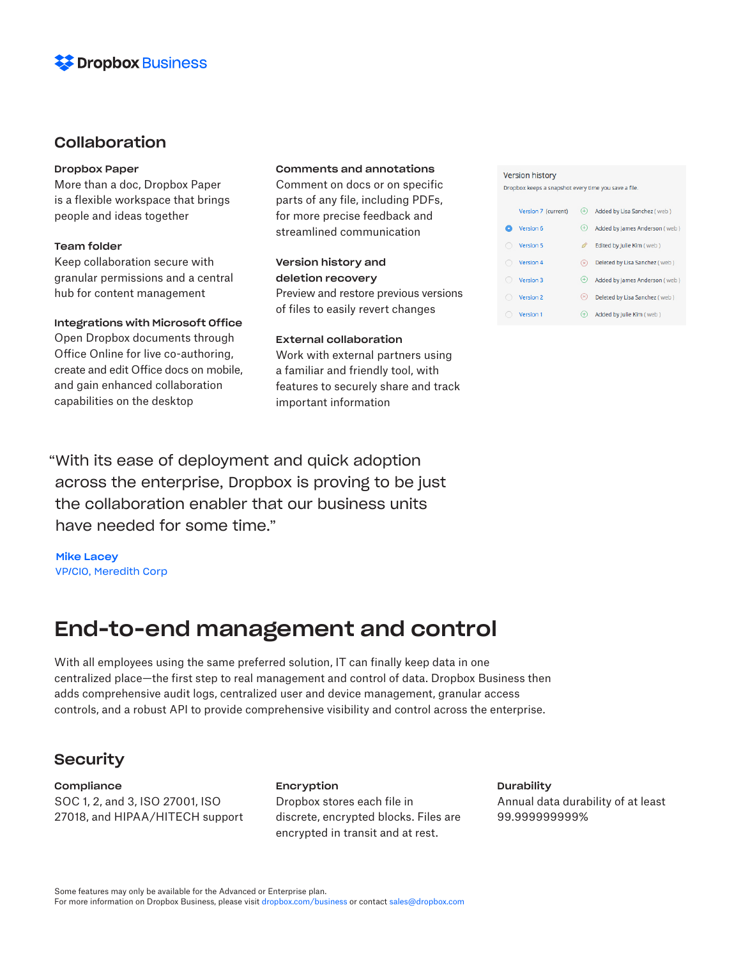

# Collaboration

### Dropbox Paper

More than a doc, Dropbox Paper is a flexible workspace that brings people and ideas together

# Team folder

Keep collaboration secure with granular permissions and a central hub for content management

### Integrations with Microsoft Office

Open Dropbox documents through Office Online for live co-authoring, create and edit Office docs on mobile, and gain enhanced collaboration capabilities on the desktop

# Comments and annotations

Comment on docs or on specific parts of any file, including PDFs, for more precise feedback and streamlined communication

Version history and deletion recovery Preview and restore previous versions of files to easily revert changes

# External collaboration

Work with external partners using a familiar and friendly tool, with features to securely share and track important information

#### **Version history**

Dropbox keeps a snapshot every time you save a file.

| Version 7 (current) | $^{(+)}$   | Added by Lisa Sanchez (web)   |
|---------------------|------------|-------------------------------|
| Version 6           | $(+)$      | Added by James Anderson (web) |
| Version 5           |            | Edited by Julie Kim (web)     |
| Version 4           | (x)        | Deleted by Lisa Sanchez (web) |
| Version 3           | $(+)$      | Added by James Anderson (web) |
| Version 2           | $(\times)$ | Deleted by Lisa Sanchez (web) |
| Version 1           |            | Added by Julie Kim (web)      |

"With its ease of deployment and quick adoption across the enterprise, Dropbox is proving to be just the collaboration enabler that our business units have needed for some time."

Mike Lacey VP/CIO, Meredith Corp

# End-to-end management and control

With all employees using the same preferred solution, IT can finally keep data in one centralized place—the first step to real management and control of data. Dropbox Business then adds comprehensive audit logs, centralized user and device management, granular access controls, and a robust API to provide comprehensive visibility and control across the enterprise.

# **Security**

**Compliance** SOC 1, 2, and 3, ISO 27001, ISO 27018, and HIPAA/HITECH support

#### Encryption

Dropbox stores each file in discrete, encrypted blocks. Files are encrypted in transit and at rest.

#### **Durability**

Annual data durability of at least 99.999999999%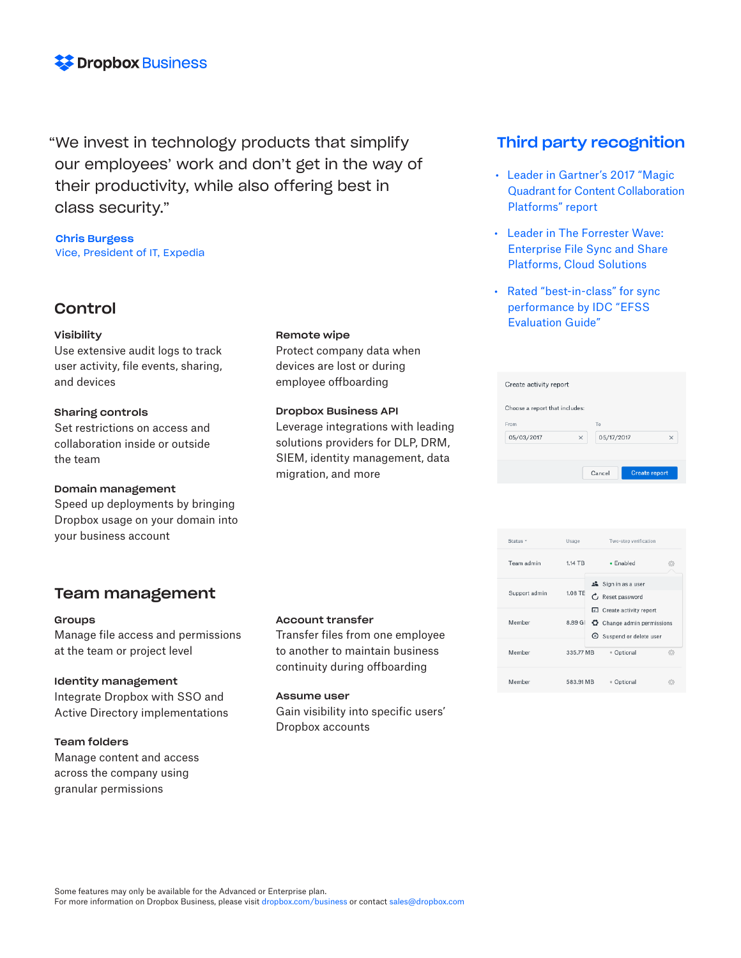

"We invest in technology products that simplify our employees' work and don't get in the way of their productivity, while also offering best in class security."

# Chris Burgess Vice, President of IT, Expedia

# Control

### Visibility

Use extensive audit logs to track user activity, file events, sharing, and devices

# Sharing controls

Set restrictions on access and collaboration inside or outside the team

### Domain management

Speed up deployments by bringing Dropbox usage on your domain into your business account

# Team management

### Groups

Manage file access and permissions at the team or project level

# Identity management

Integrate Dropbox with SSO and Active Directory implementations

# Team folders

Manage content and access across the company using granular permissions

### Remote wipe

Protect company data when devices are lost or during employee offboarding

### Dropbox Business API

Leverage integrations with leading solutions providers for DLP, DRM, SIEM, identity management, data migration, and more

# Account transfer

Transfer files from one employee to another to maintain business continuity during offboarding

### Assume user

Gain visibility into specific users' Dropbox accounts

# Third party recognition

- Leader in Gartner's 2017 "Magic Quadrant for Content Collaboration Platforms" report
- Leader in The Forrester Wave: Enterprise File Sync and Share Platforms, Cloud Solutions
- Rated "best-in-class" for sync performance by IDC "EFSS Evaluation Guide"

| Choose a report that includes: |   |            |          |
|--------------------------------|---|------------|----------|
| From                           |   | To         |          |
| 05/03/2017                     | × | 05/17/2017 | $\times$ |

| Status -      | Usage     | Two-step verification                                                                   |    |
|---------------|-----------|-----------------------------------------------------------------------------------------|----|
| Team admin    | 1.14 TB   | $\bullet$ Enabled                                                                       |    |
| Support admin | 1.08 TF   | ▲ Sign in as a user<br>$C$ Reset password                                               |    |
| Member        | 8.89 GI   | <b>III</b> Create activity report<br>Change admin permissions<br>Suspend or delete user |    |
| Member        | 335.77 MB | · Optional                                                                              | Ö) |
| Member        | 583.91 MB | Optional                                                                                |    |